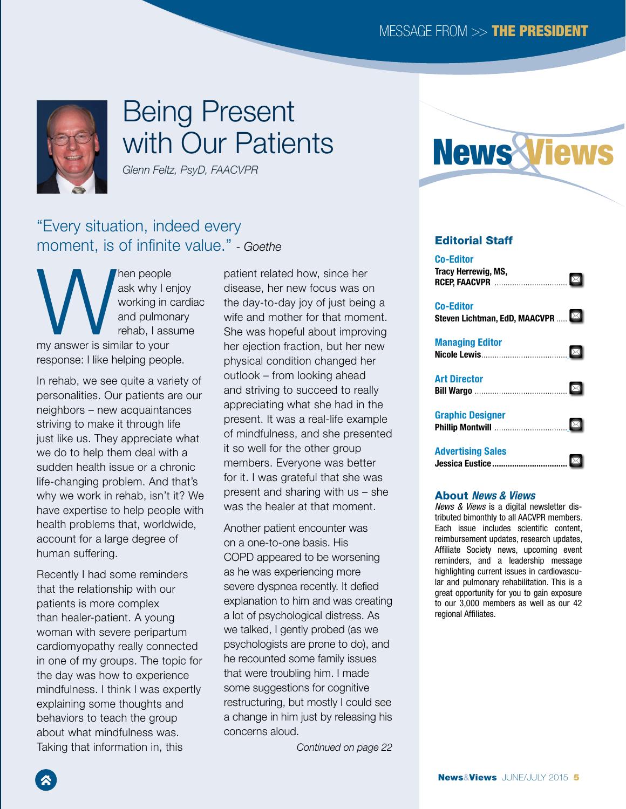### MESSAGE FROM >> THE PRESIDENT



# Being Present with Our Patients

*Glenn Feltz, PsyD, FAACVPR*

### "Every situation, indeed every moment, is of infinite value." *- Goethe*

Men people<br>
working in c<br>
my answer is similar to your ask why I enjoy working in cardiac and pulmonary rehab, I assume response: I like helping people.

In rehab, we see quite a variety of personalities. Our patients are our neighbors – new acquaintances striving to make it through life just like us. They appreciate what we do to help them deal with a sudden health issue or a chronic life-changing problem. And that's why we work in rehab, isn't it? We have expertise to help people with health problems that, worldwide, account for a large degree of human suffering.

Recently I had some reminders that the relationship with our patients is more complex than healer-patient. A young woman with severe peripartum cardiomyopathy really connected in one of my groups. The topic for the day was how to experience mindfulness. I think I was expertly explaining some thoughts and behaviors to teach the group about what mindfulness was. Taking that information in, this

patient related how, since her disease, her new focus was on the day-to-day joy of just being a wife and mother for that moment. She was hopeful about improving her ejection fraction, but her new physical condition changed her outlook – from looking ahead and striving to succeed to really appreciating what she had in the present. It was a real-life example of mindfulness, and she presented it so well for the other group members. Everyone was better for it. I was grateful that she was present and sharing with us – she was the healer at that moment.

Another patient encounter was on a one-to-one basis. His COPD appeared to be worsening as he was experiencing more severe dyspnea recently. It defied explanation to him and was creating a lot of psychological distress. As we talked, I gently probed (as we psychologists are prone to do), and he recounted some family issues that were troubling him. I made some suggestions for cognitive restructuring, but mostly I could see a change in him just by releasing his concerns aloud.

*Continued on page 22*



#### Editorial Staff

[Co-Editor](mailto:therrewi%40affinityhealth.org?subject=) [Tracy Herrewig, MS,](mailto:therrewi%40affinityhealth.org?subject=)   $\boxtimes$ **RCEP, FAACVPR** ........................... [Co-Editor](mailto:lichtman%40helenhayeshosp.org?subject=) [Steven Lichtman, EdD, MAACVPR](mailto:lichtman%40helenhayeshosp.org?subject=) ..... Managing Editor  $\boxtimes$ **Nicole Lewis[.](mailto:nlewis%40aacvpr.org?subject=)................** [Art Director](mailto:bwargo%40smithbucklin.com?subject=)  $\boxtimes$ Bill Wargo [..........................................](mailto:bwargo%40smithbucklin.com?subject=) Graphic Designer  $|\boxtimes|$ Phillip Montwill ................................[.](mailto:tschultz%40smithbucklin.com?subject=) [Advertising Sales](mailto:jeustice%40smithbucklin.com?subject=) **Jessica Eustice..............................** 

#### About *News & Views*

*News & Views* is a digital newsletter distributed bimonthly to all AACVPR members. Each issue includes scientific content, reimbursement updates, research updates, Affiliate Society news, upcoming event reminders, and a leadership message highlighting current issues in cardiovascular and pulmonary rehabilitation. This is a great opportunity for you to gain exposure to our 3,000 members as well as our 42 regional Affiliates.